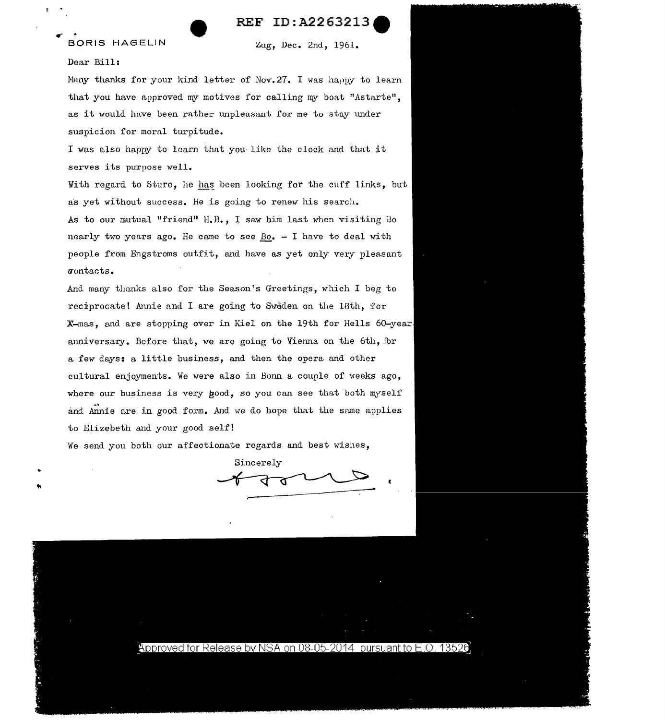

## BORIS HAGELIN Zug, Dec. 2nd, 1961.

## Dear Bill:

 $\tilde{\mathbf{t}}$ 

...

Many thanks for your kind letter of Nov.  $27.$  I was happy to learn that you have approved my motives for calling my boat "Astarte", as it would have been rather unpleasant for me to stay under suspicion for moral turpitude.

I was also happy to learn that you like the clock and that it serves its purpose well.

With regard to Sture, he has been looking for the cuff links, but as yet without success. He is going to renew his search.

As to our mutual "friend" H.B., I saw him last when visiting Bo nearly two years ago. He came to see  $Bo_$ . - I have to deal with people from Engstroms outfit, and have as yet only very pleasant <:nmtacts.

And many thanks also for the Season's Greetings, which I beg to reciprocate! Annie and I are going to Sweden on the 18th, for X-mas, and are stopping over in Kiel on the 19th for Hells 60-year anniversary. Before that, we are going to Vienna on the 6th, for a few days: a little business, and then the opera and other cultural enjoyments. We were also in Bonn a couple of weeks ago, where our business is very good, so you can see that both myself and Annie are in good form. And we do hope that the same applies to Elizebeth and your good self!

We send you both our affectionate regards and best wishes,

Sincerely

<u>Approved for Release by NSA on 08-05-2014 pursuant to E.O. 13526</u>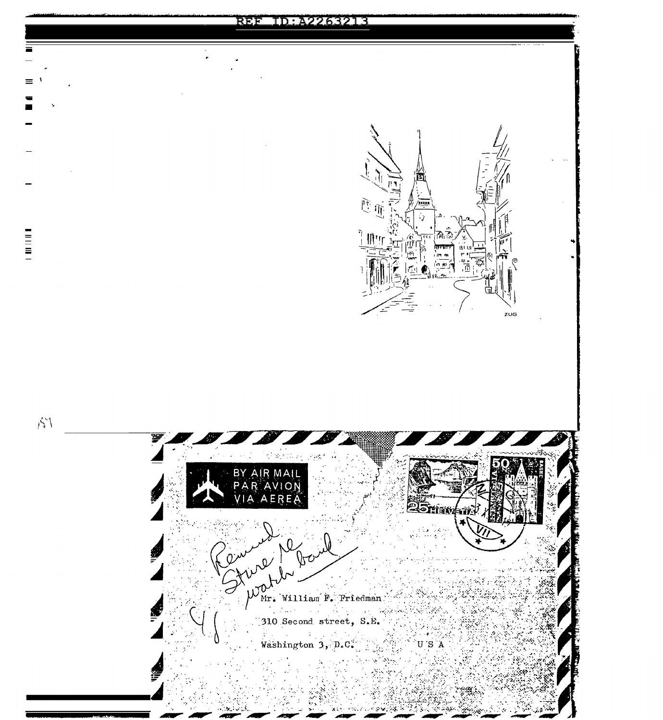